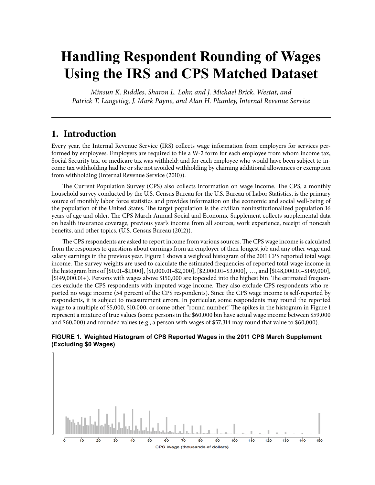# **Handling Respondent Rounding of Wages Using the IRS and CPS Matched Dataset**

*Minsun K. Riddles, Sharon L. Lohr, and J. Michael Brick, Westat, and Patrick T. Langetieg, J. Mark Payne, and Alan H. Plumley, Internal Revenue Service*

# **1. Introduction**

Every year, the Internal Revenue Service (IRS) collects wage information from employers for services performed by employees. Employers are required to file a W-2 form for each employee from whom income tax, Social Security tax, or medicare tax was withheld; and for each employee who would have been subject to income tax withholding had he or she not avoided withholding by claiming additional allowances or exemption from withholding (Internal Revenue Service (2010)).

The Current Population Survey (CPS) also collects information on wage income. The CPS, a monthly household survey conducted by the U.S. Census Bureau for the U.S. Bureau of Labor Statistics, is the primary source of monthly labor force statistics and provides information on the economic and social well-being of the population of the United States. The target population is the civilian noninstitutionalized population 16 years of age and older. The CPS March Annual Social and Economic Supplement collects supplemental data on health insurance coverage, previous year's income from all sources, work experience, receipt of noncash benefits, and other topics. (U.S. Census Bureau (2012)).

The CPS respondents are asked to report income from various sources. The CPS wage income is calculated from the responses to questions about earnings from an employer of their longest job and any other wage and salary earnings in the previous year. Figure 1 shows a weighted histogram of the 2011 CPS reported total wage income. The survey weights are used to calculate the estimated frequencies of reported total wage income in the histogram bins of [\$0.01–\$1,000], [\$1,000.01–\$2,000], [\$2,000.01–\$3,000], …, and [\$148,000.01–\$149,000], [\$149,000.01+). Persons with wages above \$150,000 are topcoded into the highest bin. The estimated frequencies exclude the CPS respondents with imputed wage income. They also exclude CPS respondents who reported no wage income (54 percent of the CPS respondents). Since the CPS wage income is self-reported by respondents, it is subject to measurement errors. In particular, some respondents may round the reported wage to a multiple of \$5,000, \$10,000, or some other "round number." The spikes in the histogram in Figure 1 represent a mixture of true values (some persons in the \$60,000 bin have actual wage income between \$59,000 and \$60,000) and rounded values (e.g., a person with wages of \$57,314 may round that value to \$60,000).



**Figure 1. Weighted Histogram of CPS Reported Wages in the 2011 CPS March Supplement (Excluding \$0 Wages)** 

CPS Wage (thousands of dollars)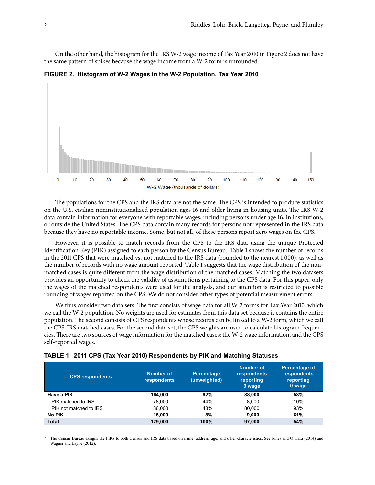On the other hand, the histogram for the IRS W-2 wage income of Tax Year 2010 in Figure 2 does not have the same pattern of spikes because the wage income from a W-2 form is unrounded.

**Figure 2. Histogram of W-2 Wages in the W-2 Population, Tax Year 2010** 



The populations for the CPS and the IRS data are not the same. The CPS is intended to produce statistics on the U.S. civilian noninstitutionalized population ages 16 and older living in housing units. The IRS W-2 data contain information for everyone with reportable wages, including persons under age 16, in institutions, or outside the United States. The CPS data contain many records for persons not represented in the IRS data because they have no reportable income. Some, but not all, of these persons report zero wages on the CPS.

However, it is possible to match records from the CPS to the IRS data using the unique Protected Identification Key (PIK) assigned to each person by the Census Bureau.<sup>1</sup> Table 1 shows the number of records in the 2011 CPS that were matched vs. not matched to the IRS data (rounded to the nearest 1,000), as well as the number of records with no wage amount reported. Table 1 suggests that the wage distribution of the nonmatched cases is quite different from the wage distribution of the matched cases. Matching the two datasets provides an opportunity to check the validity of assumptions pertaining to the CPS data. For this paper, only the wages of the matched respondents were used for the analysis, and our attention is restricted to possible rounding of wages reported on the CPS. We do not consider other types of potential measurement errors.

We thus consider two data sets. The first consists of wage data for all W-2 forms for Tax Year 2010, which we call the W-2 population. No weights are used for estimates from this data set because it contains the entire population. The second consists of CPS respondents whose records can be linked to a W-2 form, which we call the CPS-IRS matched cases. For the second data set, the CPS weights are used to calculate histogram frequencies. There are two sources of wage information for the matched cases: the W-2 wage information, and the CPS self-reported wages.

|  |  |  |  |  |  | TABLE 1. 2011 CPS (Tax Year 2010) Respondents by PIK and Matching Statuses |  |  |  |  |  |
|--|--|--|--|--|--|----------------------------------------------------------------------------|--|--|--|--|--|
|--|--|--|--|--|--|----------------------------------------------------------------------------|--|--|--|--|--|

| <b>CPS respondents</b> | Number of<br>respondents | Percentage<br>(unweighted) | Number of<br><b>respondents</b><br>reporting<br>0 wage | <b>Percentage of</b><br>respondents<br>reporting<br>0 wage |
|------------------------|--------------------------|----------------------------|--------------------------------------------------------|------------------------------------------------------------|
| Have a PIK             | 164.000                  | 92%                        | 88,000                                                 | 53%                                                        |
| PIK matched to IRS     | 78.000                   | 44%                        | 8.000                                                  | 10%                                                        |
| PIK not matched to IRS | 86,000                   | 48%                        | 80,000                                                 | 93%                                                        |
| <b>No PIK</b>          | 15,000                   | 8%                         | 9,000                                                  | 61%                                                        |
| <b>Total</b>           | 179.000                  | 100%                       | 97,000                                                 | 54%                                                        |

<sup>1</sup> The Census Bureau assigns the PIKs to both Census and IRS data based on name, address, age, and other characteristics. See Jones and O'Hara (2014) and Wagner and Layne (2012).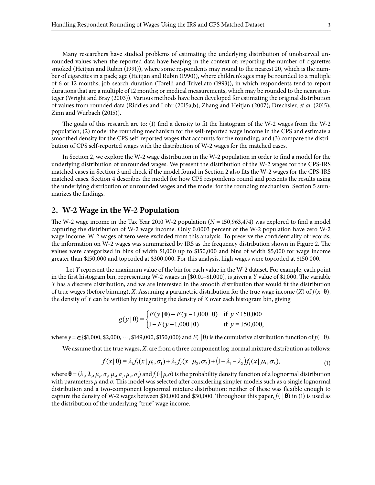Many researchers have studied problems of estimating the underlying distribution of unobserved unrounded values when the reported data have heaping in the context of: reporting the number of cigarettes smoked (Heitjan and Rubin (1991)), where some respondents may round to the nearest 20, which is the number of cigarettes in a pack; age (Heitjan and Rubin (1990)), where children's ages may be rounded to a multiple of 6 or 12 months; job-search duration (Torelli and Trivellato (1993)), in which respondents tend to report durations that are a multiple of 12 months; or medical measurements, which may be rounded to the nearest integer (Wright and Bray (2003)). Various methods have been developed for estimating the original distribution of values from rounded data (Riddles and Lohr (2015a,b); Zhang and Heitjan (2007); Drechsler, *et al*. (2015); Zinn and Wurbach (2015)).

The goals of this research are to: (1) find a density to fit the histogram of the W-2 wages from the W-2 population; (2) model the rounding mechanism for the self-reported wage income in the CPS and estimate a smoothed density for the CPS self-reported wages that accounts for the rounding; and (3) compare the distribution of CPS self-reported wages with the distribution of W-2 wages for the matched cases.

In Section 2, we explore the W-2 wage distribution in the W-2 population in order to find a model for the underlying distribution of unrounded wages. We present the distribution of the W-2 wages for the CPS-IRS matched cases in Section 3 and check if the model found in Section 2 also fits the W-2 wages for the CPS-IRS matched cases. Section 4 describes the model for how CPS respondents round and presents the results using the underlying distribution of unrounded wages and the model for the rounding mechanism. Section 5 summarizes the findings.

#### **2. W-2 Wage in the W-2 Population**

The W-2 wage income in the Tax Year 2010 W-2 population (*N* = 150,963,474) was explored to find a model capturing the distribution of W-2 wage income. Only 0.0003 percent of the W-2 population have zero W-2 wage income. W-2 wages of zero were excluded from this analysis. To preserve the confidentiality of records, the information on W-2 wages was summarized by IRS as the frequency distribution shown in Figure 2. The values were categorized in bins of width \$1,000 up to \$150,000 and bins of width \$5,000 for wage income greater than \$150,000 and topcoded at \$300,000. For this analysis, high wages were topcoded at \$150,000.

Let *Y* represent the maximum value of the bin for each value in the W-2 dataset. For example, each point in the first histogram bin, representing W-2 wages in [\$0.01–\$1,000], is given a *Y* value of \$1,000. The variable *Y* has a discrete distribution, and we are interested in the smooth distribution that would fit the distribution of true wages (before binning), *X*. Assuming a parametric distribution for the true wage income  $(X)$  of  $f(x | \theta)$ , the density of *Y* can be written by integrating the density of *X* over each histogram bin, giving

$$
g(y | \mathbf{\theta}) = \begin{cases} F(y | \mathbf{\theta}) - F(y - 1,000 | \mathbf{\theta}) & \text{if } y \le 150,000 \\ 1 - F(y - 1,000 | \mathbf{\theta}) & \text{if } y = 150,000, \end{cases}
$$

where  $y = \in \{ $1,000, $2,000, \cdots, $149,000, $150,000 \}$  and  $F(\cdot | \theta)$  is the cumulative distribution function of  $f(\cdot | \theta)$ .

We assume that the true wages, *X,* are from a three component log-normal mixture distribution as follows:

$$
f(x|\mathbf{\theta}) = \lambda_1 f_i(x|\mu_1, \sigma_1) + \lambda_2 f_i(x|\mu_2, \sigma_2) + (1 - \lambda_1 - \lambda_2) f_i(x|\mu_3, \sigma_3),
$$
\n(1)

where  $\mathbf{\theta} = (\lambda_1, \lambda_2, \mu_1, \sigma_1, \mu_2, \sigma_2, \mu_3, \sigma_3)$  and  $f_l(\cdot | \mu, \sigma)$  is the probability density function of a lognormal distribution with parameters  $\mu$  and  $\sigma$ . This model was selected after considering simpler models such as a single lognormal distribution and a two-component lognormal mixture distribution: neither of these was flexible enough to capture the density of W-2 wages between \$10,000 and \$30,000. Throughout this paper, *f*(.|**θ**) in (1) is used as the distribution of the underlying "true" wage income.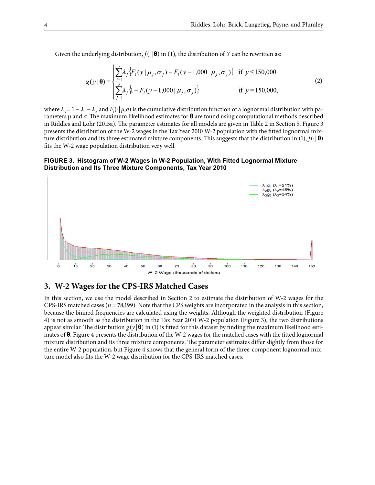Given the underlying distribution,  $f(\cdot|\mathbf{\theta})$  in (1), the distribution of *Y* can be rewritten as:

$$
g(y | \mathbf{\theta}) = \begin{cases} \sum_{j=1}^{3} \lambda_j \{ F_i(y | \mu_j, \sigma_j) - F_i(y - 1,000 | \mu_j, \sigma_j) \} & \text{if } y \le 150,000\\ \sum_{j=1}^{3} \lambda_j \{ 1 - F_i(y - 1,000 | \mu_j, \sigma_j) \} & \text{if } y = 150,000, \end{cases}
$$
(2)

where  $\lambda_3 = 1 - \lambda_1 - \lambda_2$  and  $F_l(\cdot | \mu, \sigma)$  is the cumulative distribution function of a lognormal distribution with parameters µ and *σ*. The maximum likelihood estimates for **θ** are found using computational methods described in Riddles and Lohr (2015a). The parameter estimates for all models are given in Table 2 in Section 5. Figure 3 presents the distribution of the W-2 wages in the Tax Year 2010 W-2 population with the fitted lognormal mixture distribution and its three estimated mixture components. This suggests that the distribution in (1),  $f(\cdot|\mathbf{\theta})$ fits the W-2 wage population distribution very well.

#### **Figure 3. Histogram of W-2 Wages in W-2 Population, With Fitted Lognormal Mixture Distribution and Its Three Mixture Components, Tax Year 2010**



## **3. W-2 Wages for the CPS-IRS Matched Cases**

In this section, we use the model described in Section 2 to estimate the distribution of W-2 wages for the CPS-IRS matched cases (*n* = 78,199). Note that the CPS weights are incorporated in the analysis in this section, because the binned frequencies are calculated using the weights. Although the weighted distribution (Figure 4) is not as smooth as the distribution in the Tax Year 2010 W-2 population (Figure 3), the two distributions appear similar. The distribution  $g(y|\mathbf{\theta})$  in (1) is fitted for this dataset by finding the maximum likelihood estimates of **θ**. Figure 4 presents the distribution of the W-2 wages for the matched cases with the fitted lognormal mixture distribution and its three mixture components. The parameter estimates differ slightly from those for the entire W-2 population, but Figure 4 shows that the general form of the three-component lognormal mixture model also fits the W-2 wage distribution for the CPS-IRS matched cases.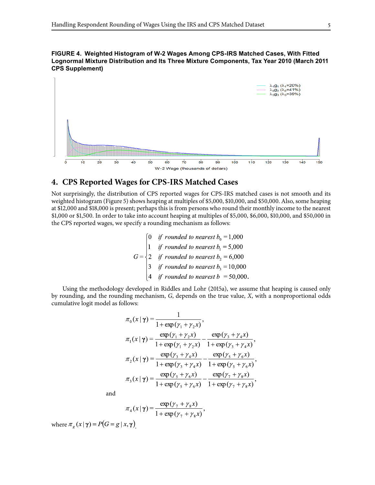



## **4. CPS Reported Wages for CPS-IRS Matched Cases**

Not surprisingly, the distribution of CPS reported wages for CPS-IRS matched cases is not smooth and its weighted histogram (Figure 5) shows heaping at multiples of \$5,000, \$10,000, and \$50,000. Also, some heaping at \$12,000 and \$18,000 is present; perhaps this is from persons who round their monthly income to the nearest \$1,000 or \$1,500. In order to take into account heaping at multiples of \$5,000, \$6,000, \$10,000, and \$50,000 in the CPS reported wages, we specify a rounding mechanism as follows:

$$
G = \begin{cases}\n0 & \text{if rounded to nearest } b_0 = 1,000 \\
1 & \text{if rounded to nearest } b_1 = 5,000 \\
2 & \text{if rounded to nearest } b_2 = 6,000 \\
3 & \text{if rounded to nearest } b_3 = 10,000 \\
4 & \text{if rounded to nearest } b = 50,000.\n\end{cases}
$$

Using the methodology developed in Riddles and Lohr (2015a), we assume that heaping is caused only by rounding, and the rounding mechanism, *G*, depends on the true value, *X*, with a nonproportional odds cumulative logit model as follows:

$$
\pi_0(x | \gamma) = \frac{1}{1 + \exp(\gamma_1 + \gamma_2 x)},
$$
\n
$$
\pi_1(x | \gamma) = \frac{\exp(\gamma_1 + \gamma_2 x)}{1 + \exp(\gamma_1 + \gamma_2 x)} - \frac{\exp(\gamma_3 + \gamma_4 x)}{1 + \exp(\gamma_3 + \gamma_4 x)},
$$
\n
$$
\pi_2(x | \gamma) = \frac{\exp(\gamma_3 + \gamma_4 x)}{1 + \exp(\gamma_3 + \gamma_4 x)} - \frac{\exp(\gamma_5 + \gamma_6 x)}{1 + \exp(\gamma_5 + \gamma_6 x)},
$$
\n
$$
\pi_3(x | \gamma) = \frac{\exp(\gamma_5 + \gamma_6 x)}{1 + \exp(\gamma_5 + \gamma_6 x)} - \frac{\exp(\gamma_7 + \gamma_8 x)}{1 + \exp(\gamma_7 + \gamma_8 x)},
$$

and

$$
\pi_4(x|\gamma) = \frac{\exp(\gamma_7 + \gamma_8 x)}{1 + \exp(\gamma_7 + \gamma_8 x)}
$$

where  $\pi_{\varrho}(x | \gamma) = P(G = g | x, \gamma)$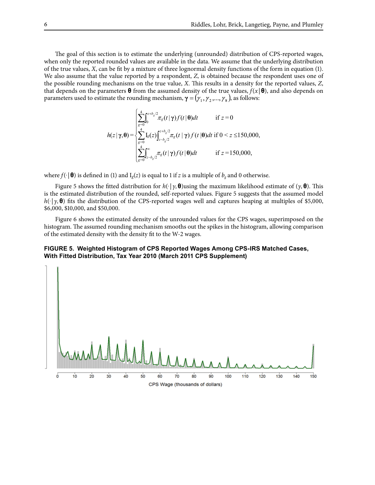The goal of this section is to estimate the underlying (unrounded) distribution of CPS-reported wages, when only the reported rounded values are available in the data. We assume that the underlying distribution of the true values, *X*, can be fit by a mixture of three lognormal density functions of the form in equation (1). We also assume that the value reported by a respondent, *Z*, is obtained because the respondent uses one of the possible rounding mechanisms on the true value, *X*. This results in a density for the reported values, *Z*, that depends on the parameters **θ** from the assumed density of the true values, *f*(*x* |**θ**), and also depends on parameters used to estimate the rounding mechanism,  $\gamma = (\gamma_1, \gamma_2, ..., \gamma_8)$ , as follows:

$$
h(z|\gamma,\theta) = \begin{cases} \sum_{g=0}^{4} \int_{0}^{z+b_{g}/2} \pi_{g}(t|\gamma) f(t|\theta) dt & \text{if } z = 0\\ \sum_{g=0}^{4} I_{g}(z) \int_{z-b_{g}/2}^{z+b_{g}/2} \pi_{g}(t|\gamma) f(t|\theta) dt & \text{if } 0 < z \le 150,000,\\ \sum_{g=0}^{4} \int_{z-b_{g}/2}^{\infty} \pi_{g}(t|\gamma) f(t|\theta) dt & \text{if } z = 150,000, \end{cases}
$$

where  $f(\cdot | \boldsymbol{\theta})$  is defined in (1) and  $I_g(z)$  is equal to 1 if *z* is a multiple of  $b_g$  and 0 otherwise.

Figure 5 shows the fitted distribution for *h*(.| *γ,***θ**)using the maximum likelihood estimate of (*γ,***θ**). This is the estimated distribution of the rounded, self-reported values. Figure 5 suggests that the assumed model *h*( $\cdot$ | *γ*, **θ**) fits the distribution of the CPS-reported wages well and captures heaping at multiples of \$5,000, \$6,000, \$10,000, and \$50,000.

Figure 6 shows the estimated density of the unrounded values for the CPS wages, superimposed on the histogram. The assumed rounding mechanism smooths out the spikes in the histogram, allowing comparison of the estimated density with the density fit to the W-2 wages.

#### **Figure 5. Weighted Histogram of CPS Reported Wages Among CPS-IRS Matched Cases, With Fitted Distribution, Tax Year 2010 (March 2011 CPS Supplement)**

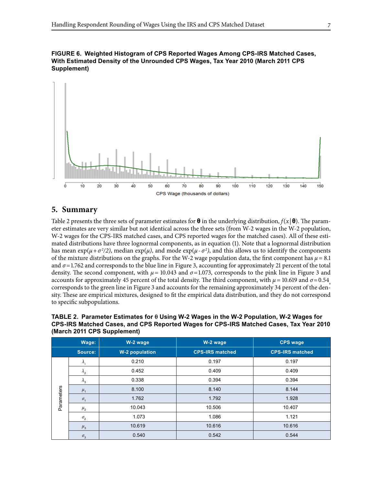



## **5. Summary**

Table 2 presents the three sets of parameter estimates for **θ** in the underlying distribution, *f*(*x* |**θ**). The parameter estimates are very similar but not identical across the three sets (from W-2 wages in the W-2 population, W-2 wages for the CPS-IRS matched cases, and CPS reported wages for the matched cases). All of these estimated distributions have three lognormal components, as in equation (1). Note that a lognormal distribution has mean exp( $\mu + \sigma^2/2$ ), median exp( $\mu$ ), and mode exp( $\mu$ - $\sigma^2$ ), and this allows us to identify the components of the mixture distributions on the graphs. For the W-2 wage population data, the first component has  $\mu = 8.1$ and  $\sigma$ =1.762 and corresponds to the blue line in Figure 3, accounting for approximately 21 percent of the total density. The second component, with *µ=* 10.043 and *σ*=1.073, corresponds to the pink line in Figure 3 and accounts for approximately 45 percent of the total density. The third component, with  $\mu$  = 10.619 and  $\sigma$  = 0.54, corresponds to the green line in Figure 3 and accounts for the remaining approximately 34 percent of the sity. These are empirical mixtures, designed to fit the empirical data distribution, and they do not correspond to specific subpopulations.

**Table 2. Parameter Estimates for θ Using W-2 Wages in the W-2 Population, W-2 Wages for CPS-IRS Matched Cases, and CPS Reported Wages for CPS-IRS Matched Cases, Tax Year 2010 (March 2011 CPS Supplement)**

|            | Wage:                 | W-2 wage              | W-2 wage               | <b>CPS wage</b>        |
|------------|-----------------------|-----------------------|------------------------|------------------------|
|            | Source:               | <b>W-2 population</b> | <b>CPS-IRS matched</b> | <b>CPS-IRS matched</b> |
|            | $\Lambda$             | 0.210                 | 0.197                  | 0.197                  |
|            | $\lambda_{2}$         | 0.452                 | 0.409                  | 0.409                  |
|            | $\lambda_{3}$         | 0.338                 | 0.394                  | 0.394                  |
| Parameters | $\mu_{1}$             | 8.100                 | 8.140                  | 8.144                  |
|            | $\sigma_{1}$          | 1.762                 | 1.792                  | 1.928                  |
|            | $\mu_{2}$             | 10.043                | 10.506                 | 10.407                 |
|            | $\sigma_{2}$          | 1.073                 | 1.086                  | 1.121                  |
|            | $\mu_{3}$             | 10.619                | 10.616                 | 10.616                 |
|            | $\sigma$ <sub>3</sub> | 0.540                 | 0.542                  | 0.544                  |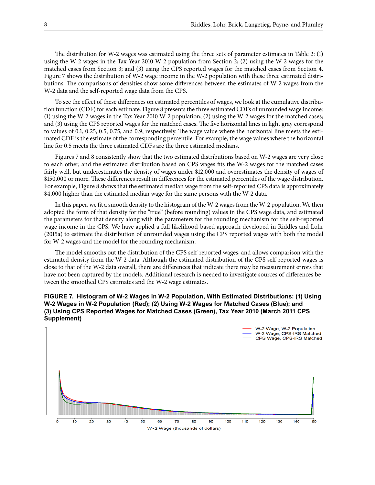The distribution for W-2 wages was estimated using the three sets of parameter estimates in Table 2: (1) using the W-2 wages in the Tax Year 2010 W-2 population from Section 2; (2) using the W-2 wages for the matched cases from Section 3; and (3) using the CPS reported wages for the matched cases from Section 4. Figure 7 shows the distribution of W-2 wage income in the W-2 population with these three estimated distributions. The comparisons of densities show some differences between the estimates of W-2 wages from the W-2 data and the self-reported wage data from the CPS.

To see the effect of these differences on estimated percentiles of wages, we look at the cumulative distribution function (CDF) for each estimate. Figure 8 presents the three estimated CDFs of unrounded wage income: (1) using the W-2 wages in the Tax Year 2010 W-2 population; (2) using the W-2 wages for the matched cases; and (3) using the CPS reported wages for the matched cases. The five horizontal lines in light gray correspond to values of 0.1, 0.25, 0.5, 0.75, and 0.9, respectively. The wage value where the horizontal line meets the estimated CDF is the estimate of the corresponding percentile. For example, the wage values where the horizontal line for 0.5 meets the three estimated CDFs are the three estimated medians.

Figures 7 and 8 consistently show that the two estimated distributions based on W-2 wages are very close to each other, and the estimated distribution based on CPS wages fits the W-2 wages for the matched cases fairly well, but underestimates the density of wages under \$12,000 and overestimates the density of wages of \$150,000 or more. These differences result in differences for the estimated percentiles of the wage distribution. For example, Figure 8 shows that the estimated median wage from the self-reported CPS data is approximately \$4,000 higher than the estimated median wage for the same persons with the W-2 data.

In this paper, we fit a smooth density to the histogram of the W-2 wages from the W-2 population. We then adopted the form of that density for the "true" (before rounding) values in the CPS wage data, and estimated the parameters for that density along with the parameters for the rounding mechanism for the self-reported wage income in the CPS. We have applied a full likelihood-based approach developed in Riddles and Lohr (2015a) to estimate the distribution of unrounded wages using the CPS reported wages with both the model for W-2 wages and the model for the rounding mechanism.

The model smooths out the distribution of the CPS self-reported wages, and allows comparison with the estimated density from the W-2 data. Although the estimated distribution of the CPS self-reported wages is close to that of the W-2 data overall, there are differences that indicate there may be measurement errors that have not been captured by the models. Additional research is needed to investigate sources of differences between the smoothed CPS estimates and the W-2 wage estimates.

#### **Figure 7. Histogram of W-2 Wages in W-2 Population, With Estimated Distributions: (1) Using W-2 Wages in W-2 Population (Red); (2) Using W-2 Wages for Matched Cases (Blue); and (3) Using CPS Reported Wages for Matched Cases (Green), Tax Year 2010 (March 2011 CPS Supplement)**